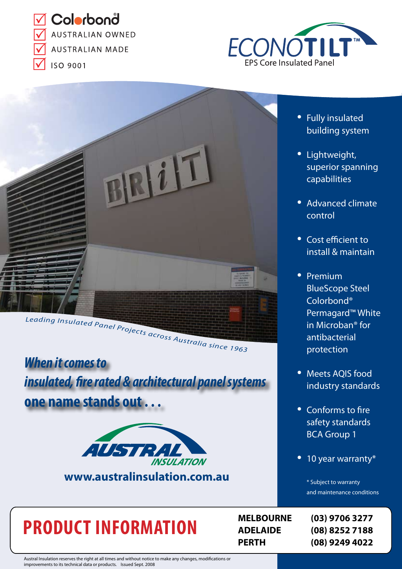V Colorbonå **AUSTRALIAN OWNED AUSTRALIAN MADE** 

**ISO 9001** 





*When it comes to insulated, fire rated & architectural panel systems*

**one name stands out . . .**



**www.australinsulation.com.au**

# **PRODUCT INFORMATION**

- Fully insulated building system
- Lightweight, superior spanning capabilities
- Advanced climate control
- Cost efficient to install & maintain
- Premium BlueScope Steel Colorbond® Permagard™ White in Microban® for antibacterial protection
- Meets AQIS food industry standards
- Conforms to fire safety standards BCA Group 1
- 10 year warranty\*

\* Subject to warranty and maintenance conditions

**MELBOURNE (03) 9706 3277 ADELAIDE (08) 8252 7188 PERTH (08) 9249 4022**

Austral Insulation reserves the right at all times and without notice to make any changes, modifications or improvements to its technical data or products. Issued Sept. 2008